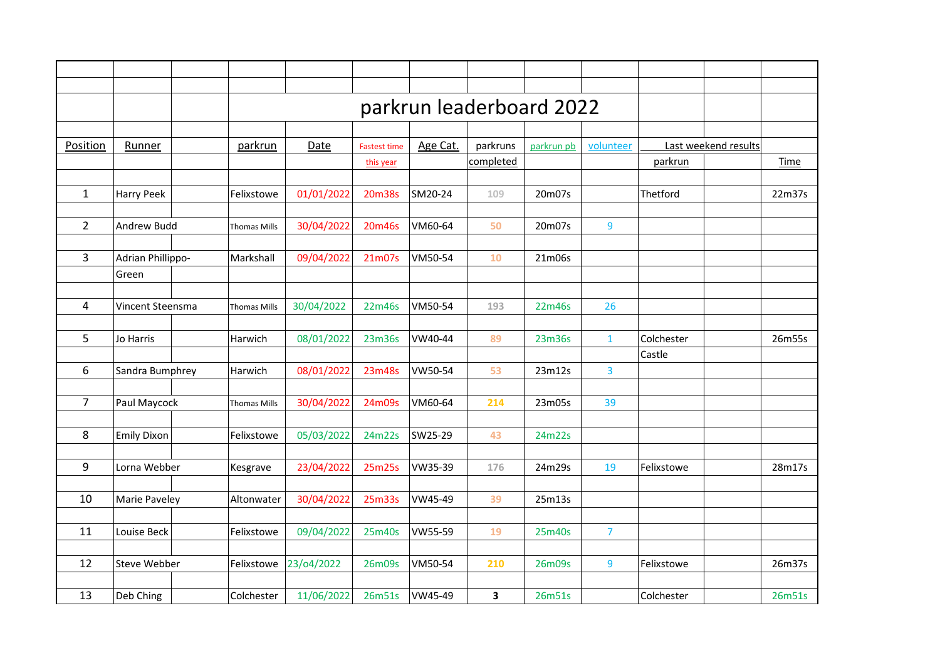| Position       | Runner             | parkrun             | Date       | <b>Fastest time</b> | Age Cat. | parkruns  | parkrun pb | volunteer               | Last weekend results |  |             |
|----------------|--------------------|---------------------|------------|---------------------|----------|-----------|------------|-------------------------|----------------------|--|-------------|
|                |                    |                     |            | this year           |          | completed |            |                         | parkrun              |  | <b>Time</b> |
|                |                    |                     |            |                     |          |           |            |                         |                      |  |             |
| $\mathbf{1}$   | <b>Harry Peek</b>  | Felixstowe          | 01/01/2022 | 20m38s              | SM20-24  | 109       | 20m07s     |                         | Thetford             |  | 22m37s      |
| $\overline{2}$ | Andrew Budd        | <b>Thomas Mills</b> | 30/04/2022 | 20m46s              | VM60-64  | 50        | 20m07s     | 9                       |                      |  |             |
|                |                    |                     |            |                     |          |           |            |                         |                      |  |             |
| 3              | Adrian Phillippo-  | Markshall           | 09/04/2022 | 21m07s              | VM50-54  | 10        | 21m06s     |                         |                      |  |             |
|                | Green              |                     |            |                     |          |           |            |                         |                      |  |             |
| 4              | Vincent Steensma   | <b>Thomas Mills</b> | 30/04/2022 | 22m46s              | VM50-54  | 193       | 22m46s     | 26                      |                      |  |             |
|                |                    |                     |            |                     |          |           |            |                         |                      |  |             |
| 5              | Jo Harris          | Harwich             | 08/01/2022 | 23m36s              | VW40-44  | 89        | 23m36s     | $\mathbf{1}$            | Colchester           |  | 26m55s      |
| 6              | Sandra Bumphrey    | Harwich             | 08/01/2022 | 23m48s              | VW50-54  | 53        | 23m12s     | $\overline{\mathbf{3}}$ | Castle               |  |             |
|                |                    |                     |            |                     |          |           |            |                         |                      |  |             |
| $\overline{7}$ | Paul Maycock       | <b>Thomas Mills</b> | 30/04/2022 | 24m09s              | VM60-64  | 214       | 23m05s     | 39                      |                      |  |             |
| 8              | <b>Emily Dixon</b> | Felixstowe          | 05/03/2022 | 24m22s              | SW25-29  | 43        | 24m22s     |                         |                      |  |             |
|                |                    |                     |            |                     |          |           |            |                         |                      |  |             |
| 9              | Lorna Webber       | Kesgrave            | 23/04/2022 | 25m25s              | VW35-39  | 176       | 24m29s     | 19                      | Felixstowe           |  | 28m17s      |
| 10             | Marie Paveley      | Altonwater          | 30/04/2022 | 25m33s              | VW45-49  | 39        | 25m13s     |                         |                      |  |             |
|                |                    |                     |            |                     |          |           |            |                         |                      |  |             |
| 11             | Louise Beck        | Felixstowe          | 09/04/2022 | 25m40s              | VW55-59  | 19        | 25m40s     | $\overline{7}$          |                      |  |             |
| 12             | Steve Webber       | Felixstowe          | 23/04/2022 | 26m09s              | VM50-54  | 210       | 26m09s     | 9                       | Felixstowe           |  | 26m37s      |
|                |                    |                     |            |                     |          |           |            |                         |                      |  |             |
| 13             | Deb Ching          | Colchester          | 11/06/2022 | 26m51s              | VW45-49  | 3         | 26m51s     |                         | Colchester           |  | 26m51s      |